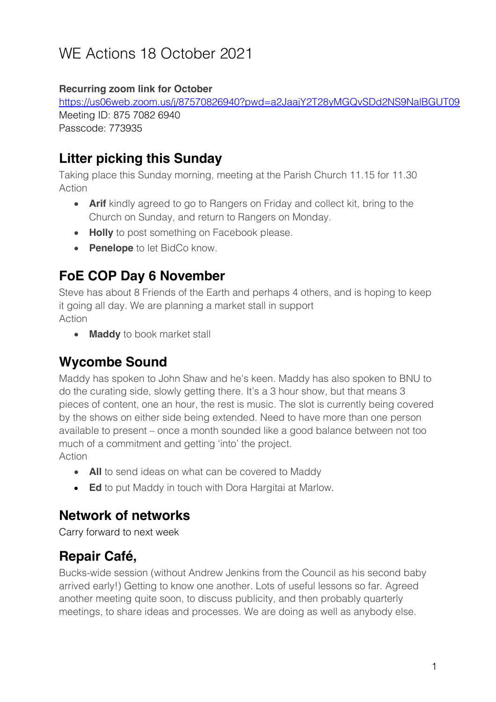# WE Actions 18 October 2021

#### **Recurring zoom link for October**

https://us06web.zoom.us/j/87570826940?pwd=a2JaajY2T28yMGQvSDd2NS9NalBGUT09 Meeting ID: 875 7082 6940 Passcode: 773935

## **Litter picking this Sunday**

Taking place this Sunday morning, meeting at the Parish Church 11.15 for 11.30 Action

- **Arif** kindly agreed to go to Rangers on Friday and collect kit, bring to the Church on Sunday, and return to Rangers on Monday.
- **Holly** to post something on Facebook please.
- **Penelope** to let BidCo know.

## **FoE COP Day 6 November**

Steve has about 8 Friends of the Earth and perhaps 4 others, and is hoping to keep it going all day. We are planning a market stall in support Action

• **Maddy** to book market stall

#### **Wycombe Sound**

Maddy has spoken to John Shaw and he's keen. Maddy has also spoken to BNU to do the curating side, slowly getting there. It's a 3 hour show, but that means 3 pieces of content, one an hour, the rest is music. The slot is currently being covered by the shows on either side being extended. Need to have more than one person available to present – once a month sounded like a good balance between not too much of a commitment and getting 'into' the project. Action

- **All** to send ideas on what can be covered to Maddy
- **Ed** to put Maddy in touch with Dora Hargitai at Marlow.

#### **Network of networks**

Carry forward to next week

## **Repair Café,**

Bucks-wide session (without Andrew Jenkins from the Council as his second baby arrived early!) Getting to know one another. Lots of useful lessons so far. Agreed another meeting quite soon, to discuss publicity, and then probably quarterly meetings, to share ideas and processes. We are doing as well as anybody else.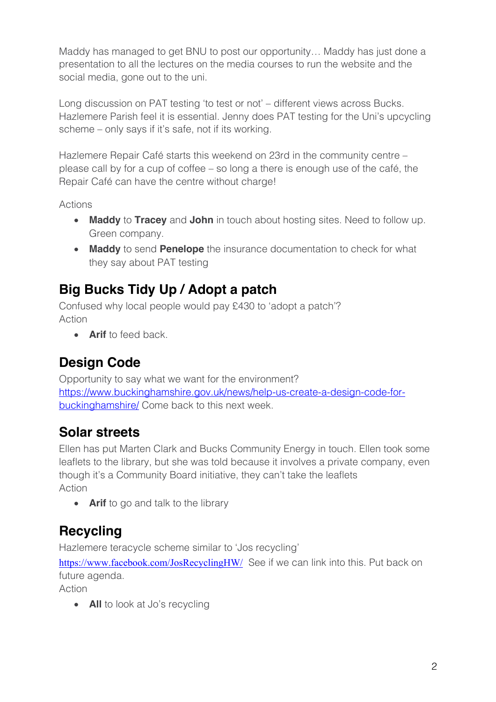Maddy has managed to get BNU to post our opportunity… Maddy has just done a presentation to all the lectures on the media courses to run the website and the social media, gone out to the uni.

Long discussion on PAT testing 'to test or not' – different views across Bucks. Hazlemere Parish feel it is essential. Jenny does PAT testing for the Uni's upcycling scheme – only says if it's safe, not if its working.

Hazlemere Repair Café starts this weekend on 23rd in the community centre – please call by for a cup of coffee – so long a there is enough use of the café, the Repair Café can have the centre without charge!

Actions

- **Maddy** to **Tracey** and **John** in touch about hosting sites. Need to follow up. Green company.
- **Maddy** to send **Penelope** the insurance documentation to check for what they say about PAT testing

## **Big Bucks Tidy Up / Adopt a patch**

Confused why local people would pay £430 to 'adopt a patch'? Action

**• Arif** to feed back

## **Design Code**

Opportunity to say what we want for the environment? https://www.buckinghamshire.gov.uk/news/help-us-create-a-design-code-forbuckinghamshire/ Come back to this next week.

#### **Solar streets**

Ellen has put Marten Clark and Bucks Community Energy in touch. Ellen took some leaflets to the library, but she was told because it involves a private company, even though it's a Community Board initiative, they can't take the leaflets Action

• **Arif** to go and talk to the library

## **Recycling**

Hazlemere teracycle scheme similar to 'Jos recycling'

https://www.facebook.com/JosRecyclingHW/ See if we can link into this. Put back on future agenda.

Action

• **All** to look at Jo's recycling